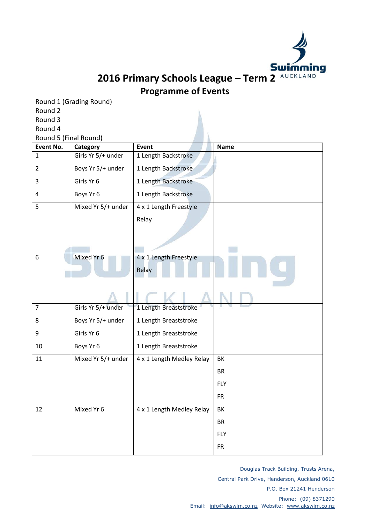

**2016 Primary Schools League – Term 2 Programme of Events**

Round 1 (Grading Round) Round 2 Round 3

Round 4 Round 5 (Final Round) **Event No.** | Category | Event **Name** 1 Girls Yr 5/+ under 1 Length Backstroke 2 Boys Yr 5/+ under 1 Length Backstroke 3 Girls Yr 6 1 Length Backstroke 4 Boys Yr 6 1 Length Backstroke 5 Mixed Yr 5/+ under 4 x 1 Length Freestyle Relay 6 Mixed Yr 6 4 x 1 Length Freestyle Relay 7 Girls Yr 5/+ under 1 Length Breaststroke 8 Boys Yr 5/+ under 1 Length Breaststroke 9 | Girls Yr 6 | 1 Length Breaststroke 10 Boys Yr 6 1 Length Breaststroke 11 Mixed Yr 5/+ under 4 x 1 Length Medley Relay BK BR FLY FR 12 | Mixed Yr 6 | 4 x 1 Length Medley Relay | BK BR FLY FR

> Douglas Track Building, Trusts Arena, Central Park Drive, Henderson, Auckland 0610 P.O. Box 21241 Henderson Phone: (09) 8371290 Email: [info@akswim.co.nz](mailto:info@akswim.co.nz) Website: [www.akswim.co.nz](http://www.akswim.co.nz/)